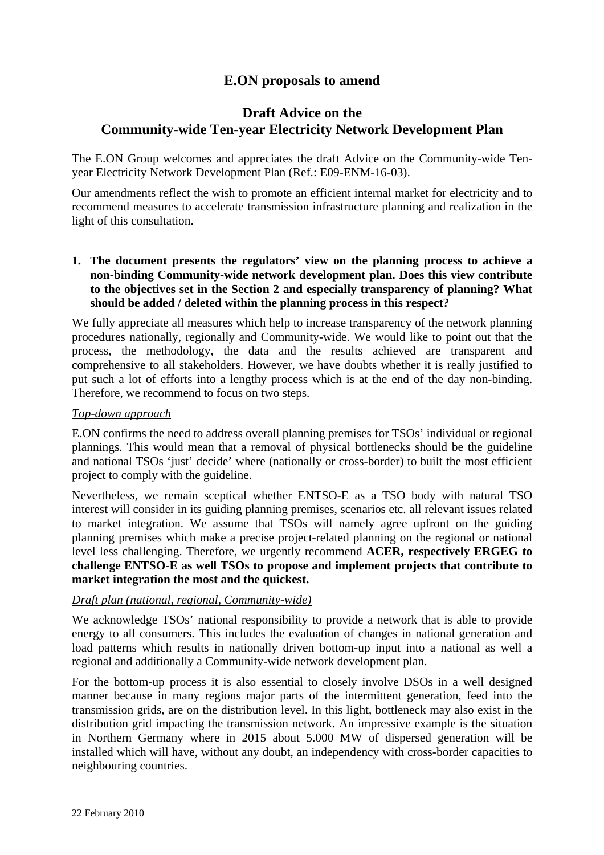# **E.ON proposals to amend**

# **Draft Advice on the Community-wide Ten-year Electricity Network Development Plan**

The E.ON Group welcomes and appreciates the draft Advice on the Community-wide Tenyear Electricity Network Development Plan (Ref.: E09-ENM-16-03).

Our amendments reflect the wish to promote an efficient internal market for electricity and to recommend measures to accelerate transmission infrastructure planning and realization in the light of this consultation.

**1. The document presents the regulators' view on the planning process to achieve a non-binding Community-wide network development plan. Does this view contribute to the objectives set in the Section 2 and especially transparency of planning? What should be added / deleted within the planning process in this respect?** 

We fully appreciate all measures which help to increase transparency of the network planning procedures nationally, regionally and Community-wide. We would like to point out that the process, the methodology, the data and the results achieved are transparent and comprehensive to all stakeholders. However, we have doubts whether it is really justified to put such a lot of efforts into a lengthy process which is at the end of the day non-binding. Therefore, we recommend to focus on two steps.

#### *Top-down approach*

E.ON confirms the need to address overall planning premises for TSOs' individual or regional plannings. This would mean that a removal of physical bottlenecks should be the guideline and national TSOs 'just' decide' where (nationally or cross-border) to built the most efficient project to comply with the guideline.

Nevertheless, we remain sceptical whether ENTSO-E as a TSO body with natural TSO interest will consider in its guiding planning premises, scenarios etc. all relevant issues related to market integration. We assume that TSOs will namely agree upfront on the guiding planning premises which make a precise project-related planning on the regional or national level less challenging. Therefore, we urgently recommend **ACER, respectively ERGEG to challenge ENTSO-E as well TSOs to propose and implement projects that contribute to market integration the most and the quickest.**

# *Draft plan (national, regional, Community-wide)*

We acknowledge TSOs' national responsibility to provide a network that is able to provide energy to all consumers. This includes the evaluation of changes in national generation and load patterns which results in nationally driven bottom-up input into a national as well a regional and additionally a Community-wide network development plan.

For the bottom-up process it is also essential to closely involve DSOs in a well designed manner because in many regions major parts of the intermittent generation, feed into the transmission grids, are on the distribution level. In this light, bottleneck may also exist in the distribution grid impacting the transmission network. An impressive example is the situation in Northern Germany where in 2015 about 5.000 MW of dispersed generation will be installed which will have, without any doubt, an independency with cross-border capacities to neighbouring countries.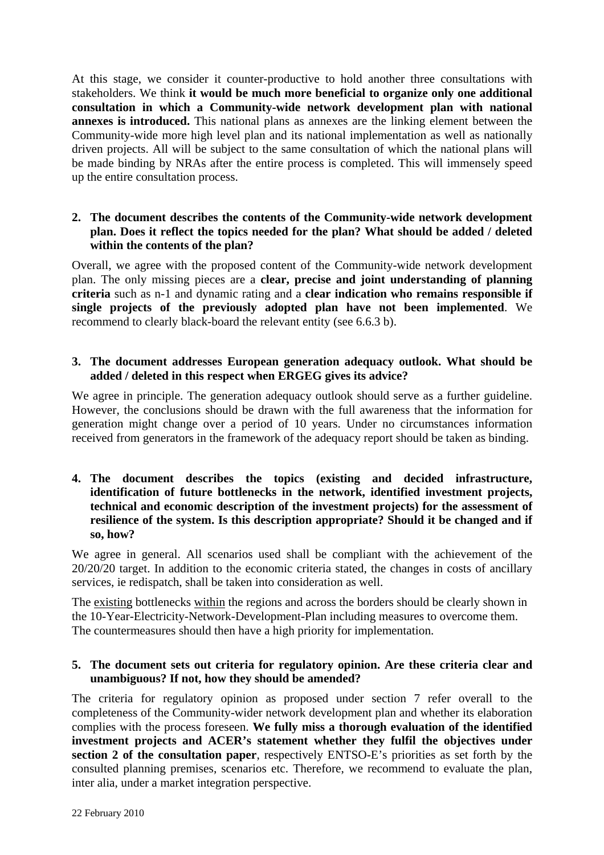At this stage, we consider it counter-productive to hold another three consultations with stakeholders. We think **it would be much more beneficial to organize only one additional consultation in which a Community-wide network development plan with national annexes is introduced.** This national plans as annexes are the linking element between the Community-wide more high level plan and its national implementation as well as nationally driven projects. All will be subject to the same consultation of which the national plans will be made binding by NRAs after the entire process is completed. This will immensely speed up the entire consultation process.

## **2. The document describes the contents of the Community-wide network development plan. Does it reflect the topics needed for the plan? What should be added / deleted within the contents of the plan?**

Overall, we agree with the proposed content of the Community-wide network development plan. The only missing pieces are a **clear, precise and joint understanding of planning criteria** such as n-1 and dynamic rating and a **clear indication who remains responsible if single projects of the previously adopted plan have not been implemented**. We recommend to clearly black-board the relevant entity (see 6.6.3 b).

#### **3. The document addresses European generation adequacy outlook. What should be added / deleted in this respect when ERGEG gives its advice?**

We agree in principle. The generation adequacy outlook should serve as a further guideline. However, the conclusions should be drawn with the full awareness that the information for generation might change over a period of 10 years. Under no circumstances information received from generators in the framework of the adequacy report should be taken as binding.

#### **4. The document describes the topics (existing and decided infrastructure, identification of future bottlenecks in the network, identified investment projects, technical and economic description of the investment projects) for the assessment of resilience of the system. Is this description appropriate? Should it be changed and if so, how?**

We agree in general. All scenarios used shall be compliant with the achievement of the 20/20/20 target. In addition to the economic criteria stated, the changes in costs of ancillary services, ie redispatch, shall be taken into consideration as well.

The existing bottlenecks within the regions and across the borders should be clearly shown in the 10-Year-Electricity-Network-Development-Plan including measures to overcome them. The countermeasures should then have a high priority for implementation.

## **5. The document sets out criteria for regulatory opinion. Are these criteria clear and unambiguous? If not, how they should be amended?**

The criteria for regulatory opinion as proposed under section 7 refer overall to the completeness of the Community-wider network development plan and whether its elaboration complies with the process foreseen. **We fully miss a thorough evaluation of the identified investment projects and ACER's statement whether they fulfil the objectives under section 2 of the consultation paper**, respectively ENTSO-E's priorities as set forth by the consulted planning premises, scenarios etc. Therefore, we recommend to evaluate the plan, inter alia, under a market integration perspective.